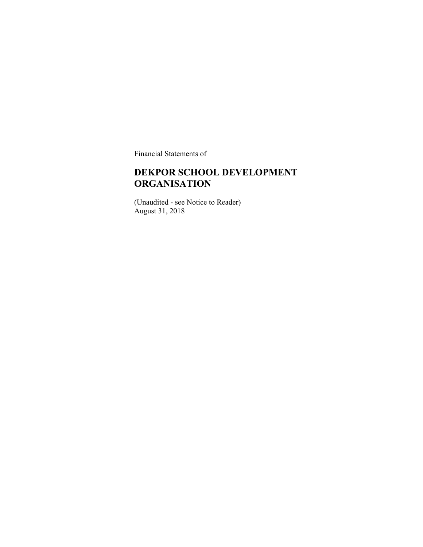Financial Statements of

#### **DEKPOR SCHOOL DEVELOPMENT ORGANISATION**

(Unaudited - see Notice to Reader) August 31, 2018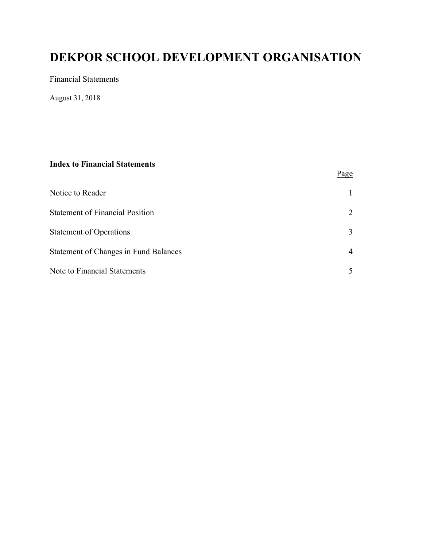Financial Statements

August 31, 2018

#### **Index to Financial Statements**

|                                              | Page           |
|----------------------------------------------|----------------|
| Notice to Reader                             |                |
| <b>Statement of Financial Position</b>       | 2              |
| <b>Statement of Operations</b>               | 3              |
| <b>Statement of Changes in Fund Balances</b> | $\overline{4}$ |
| Note to Financial Statements                 |                |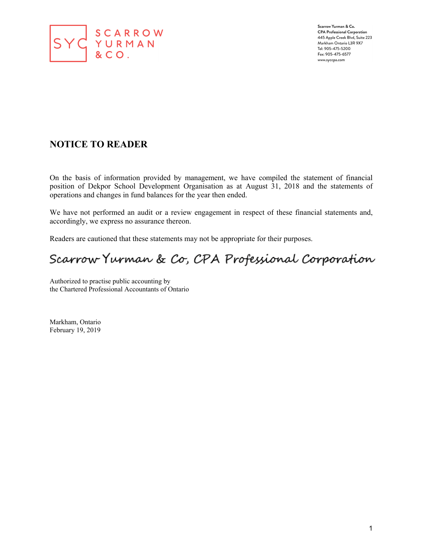

Scarrow Yurman & Co. **CPA Professional Corporation** 445 Apple Creek Blvd, Suite 223 Markham Ontario L3R 9X7 Tel: 905-475-5200 Fax: 905-475-6577 www.syccpa.com

#### **NOTICE TO READER**

On the basis of information provided by management, we have compiled the statement of financial position of Dekpor School Development Organisation as at August 31, 2018 and the statements of operations and changes in fund balances for the year then ended.

We have not performed an audit or a review engagement in respect of these financial statements and, accordingly, we express no assurance thereon.

Readers are cautioned that these statements may not be appropriate for their purposes.

# Scarrow Yurman & Co, CPA Professional Corporation

Authorized to practise public accounting by the Chartered Professional Accountants of Ontario

Markham, Ontario February 19, 2019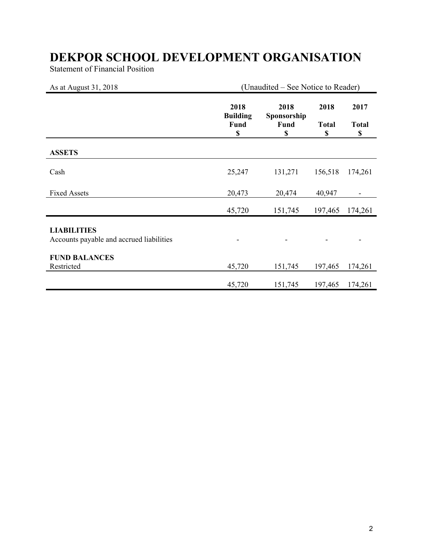Statement of Financial Position

| As at August 31, 2018                                          | (Unaudited – See Notice to Reader)    |                                   |                            |                            |
|----------------------------------------------------------------|---------------------------------------|-----------------------------------|----------------------------|----------------------------|
|                                                                | 2018<br><b>Building</b><br>Fund<br>\$ | 2018<br>Sponsorship<br>Fund<br>\$ | 2018<br><b>Total</b><br>\$ | 2017<br><b>Total</b><br>\$ |
| <b>ASSETS</b>                                                  |                                       |                                   |                            |                            |
| Cash                                                           | 25,247                                | 131,271                           | 156,518                    | 174,261                    |
| <b>Fixed Assets</b>                                            | 20,473                                | 20,474                            | 40,947                     | -                          |
|                                                                | 45,720                                | 151,745                           | 197,465                    | 174,261                    |
| <b>LIABILITIES</b><br>Accounts payable and accrued liabilities |                                       |                                   |                            |                            |
| <b>FUND BALANCES</b><br>Restricted                             | 45,720                                | 151,745                           | 197,465                    | 174,261                    |
|                                                                | 45,720                                | 151,745                           | 197,465                    | 174,261                    |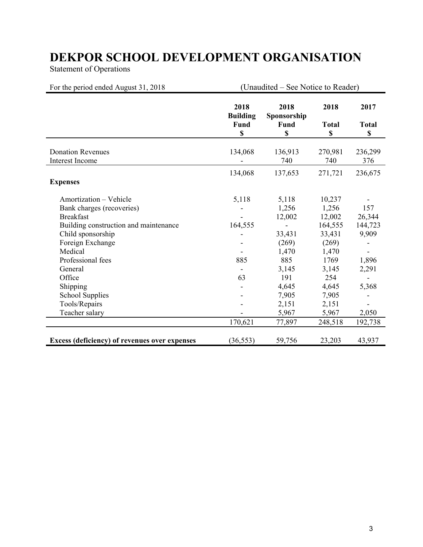Statement of Operations

| For the period ended August 31, 2018                                                                                                                                                                           | (Unaudited – See Notice to Reader)    |                                                                             |                                                                                          |                                                     |
|----------------------------------------------------------------------------------------------------------------------------------------------------------------------------------------------------------------|---------------------------------------|-----------------------------------------------------------------------------|------------------------------------------------------------------------------------------|-----------------------------------------------------|
|                                                                                                                                                                                                                | 2018<br><b>Building</b><br>Fund<br>\$ | 2018<br>Sponsorship<br>Fund<br>\$                                           | 2018<br><b>Total</b><br>\$                                                               | 2017<br><b>Total</b><br>\$                          |
| <b>Donation Revenues</b><br><b>Interest Income</b>                                                                                                                                                             | 134,068                               | 136,913<br>740                                                              | 270,981<br>740                                                                           | 236,299<br>376                                      |
| <b>Expenses</b>                                                                                                                                                                                                | 134,068                               | 137,653                                                                     | 271,721                                                                                  | 236,675                                             |
| Amortization – Vehicle<br>Bank charges (recoveries)<br><b>Breakfast</b><br>Building construction and maintenance<br>Child sponsorship<br>Foreign Exchange<br>Medical<br>Professional fees<br>General<br>Office | 5,118<br>164,555<br>885<br>63         | 5,118<br>1,256<br>12,002<br>33,431<br>(269)<br>1,470<br>885<br>3,145<br>191 | 10,237<br>1,256<br>12,002<br>164,555<br>33,431<br>(269)<br>1,470<br>1769<br>3,145<br>254 | 157<br>26,344<br>144,723<br>9,909<br>1,896<br>2,291 |
| Shipping<br><b>School Supplies</b><br>Tools/Repairs<br>Teacher salary                                                                                                                                          | 170,621                               | 4,645<br>7,905<br>2,151<br>5,967<br>77,897                                  | 4,645<br>7,905<br>2,151<br>5,967<br>248,518                                              | 5,368<br>2,050<br>192,738                           |
| <b>Excess (deficiency) of revenues over expenses</b>                                                                                                                                                           | (36, 553)                             | 59,756                                                                      | 23,203                                                                                   | 43,937                                              |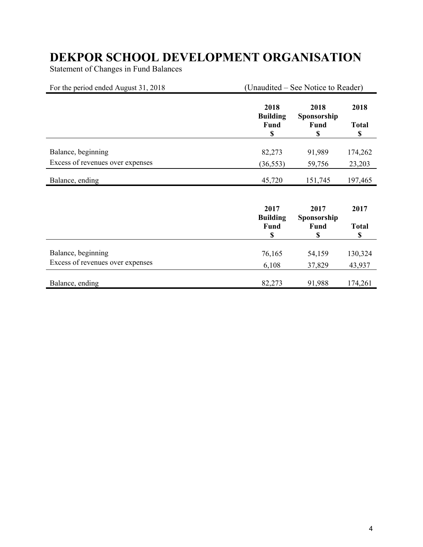Statement of Changes in Fund Balances

| For the period ended August 31, 2018 |                                       | (Unaudited – See Notice to Reader)       |                            |  |  |
|--------------------------------------|---------------------------------------|------------------------------------------|----------------------------|--|--|
|                                      | 2018<br><b>Building</b><br>Fund<br>\$ | 2018<br>Sponsorship<br>Fund<br>\$        | 2018<br><b>Total</b><br>\$ |  |  |
| Balance, beginning                   | 82,273                                | 91,989                                   | 174,262                    |  |  |
| Excess of revenues over expenses     | (36, 553)                             | 59,756                                   | 23,203                     |  |  |
| Balance, ending                      | 45,720                                | 151,745                                  | 197,465                    |  |  |
|                                      | 2017<br><b>Building</b><br>Fund<br>\$ | 2017<br>Sponsorship<br><b>Fund</b><br>\$ | 2017<br><b>Total</b><br>\$ |  |  |
| Balance, beginning                   | 76,165                                | 54,159                                   | 130,324                    |  |  |
| Excess of revenues over expenses     | 6,108                                 | 37,829                                   | 43,937                     |  |  |
| Balance, ending                      | 82,273                                | 91,988                                   | 174,261                    |  |  |